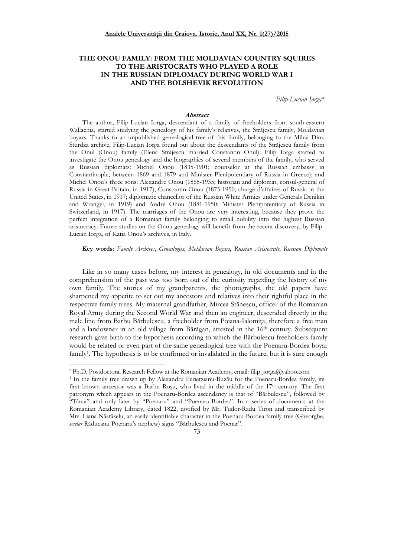# **THE ONOU FAMILY: FROM THE MOLDAVIAN COUNTRY SQUIRES TO THE ARISTOCRATS WHO PLAYED A ROLE IN THE RUSSIAN DIPLOMACY DURING WORLD WAR I AND THE BOLSHEVIK REVOLUTION**

*Filip-Lucian Iorga\** 

### **Abstract**

The author, Filip-Lucian Iorga, descendant of a family of freeholders from south-eastern Wallachia, started studying the genealogy of his family's relatives, the Străjescu family, Moldavian boyars. Thanks to an unpublished genealogical tree of this family, belonging to the Mihai Dim. Sturdza archive, Filip-Lucian Iorga found out about the descendants of the Străjescu family from the Onul (Onou) family (Elena Străjescu married Constantin Onul). Filip Iorga started to investigate the Onou genealogy and the biographies of several members of the family, who served as Russian diplomats: Michel Onou (1835-1901; counselor at the Russian embassy in Constantinople, between 1869 and 1879 and Minister Plenipotentiary of Russia in Greece); and Michel Onou's three sons: Alexandre Onou (1865-1935; historian and diplomat, consul-general of Russia in Great Britain, in 1917), Constantin Onou (1875-1950; chargé d'affaires of Russia in the United States, in 1917; diplomatic chancellor of the Russian White Armies under Generals Denikin and Wrangel, in 1919) and André Onou (1881-1950; Minister Plenipotentiary of Russia in Switzerland, in 1917). The marriages of the Onou are very interesting, because they prove the perfect integration of a Romanian family belonging to small nobility into the highest Russian aristocracy. Future studies on the Onou genealogy will benefit from the recent discovery, by Filip-Lucian Iorga, of Katia Onou's archives, in Italy.

**Key words**: *Family Archives*, *Genealogies*, *Moldavian Boyars*, *Russian Aristocrats*, *Russian Diplomats*

Like in so many cases before, my interest in genealogy, in old documents and in the comprehension of the past was too born out of the curiosity regarding the history of my own family. The stories of my grandparents, the photographs, the old papers have sharpened my appetite to set out my ancestors and relatives into their rightful place in the respective family trees. My maternal grandfather, Mircea Stănescu, officer of the Romanian Royal Army during the Second World War and then an engineer, descended directly in the male line from Barbu Bărbulescu, a freeholder from Poiana-Ialomita, therefore a free man and a landowner in an old village from Bărăgan, attested in the 16th century. Subsequent research gave birth to the hypothesis according to which the Bărbulescu freeholders family would be related or even part of the same genealogical tree with the Poenaru-Bordea boyar family<sup>1</sup>. The hypothesis is to be confirmed or invalidated in the future, but it is sure enough

<sup>\*</sup> Ph.D. Postdoctoral Research Fellow at the Romanian Academy, email: filip\_iorga@yahoo.com

<sup>&</sup>lt;sup>1</sup> In the family tree drawn up by Alexandru Perietzianu-Buzău for the Poenaru-Bordea family, its first known ancestor was a Barbu Rosu, who lived in the middle of the  $17<sup>th</sup>$  century. The first patronym which appears in the Poenaru-Bordea ascendancy is that of "Bărbulescu", followed by "Târcă" and only later by "Poenaru" and "Poenaru-Bordea". In a series of documents at the Romanian Academy Library, dated 1822, notified by Mr. Tudor-Radu Tiron and transcribed by Mrs. Liana Năstăselu, an easily identifiable character in the Poenaru-Bordea family tree (Gheorghe, *serdar* Răducanu Poenaru's nephew) signs "Bărbulescu and Poenar".

<sup>73</sup>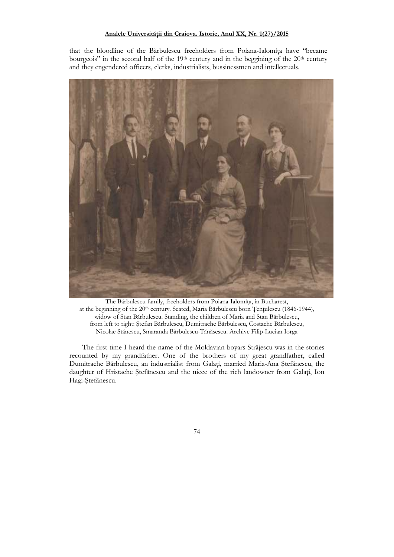that the bloodline of the Bărbulescu freeholders from Poiana-Ialomița have "became bourgeois" in the second half of the  $19<sup>th</sup>$  century and in the beggining of the  $20<sup>th</sup>$  century and they engendered officers, clerks, industrialists, bussinessmen and intellectuals.



The Bărbulescu family, freeholders from Poiana-Ialomita, in Bucharest, at the beginning of the  $20<sup>th</sup>$  century. Seated, Maria Bărbulescu born Tentulescu (1846-1944), widow of Stan Bărbulescu. Standing, the children of Maria and Stan Bărbulescu, from left to right: Ştefan Bărbulescu, Dumitrache Bărbulescu, Costache Bărbulescu, Nicolae Stănescu, Smaranda Bărbulescu-Tănăsescu. Archive Filip-Lucian Iorga

The first time I heard the name of the Moldavian boyars Străjescu was in the stories recounted by my grandfather. One of the brothers of my great grandfather, called Dumitrache Bărbulescu, an industrialist from Galați, married Maria-Ana Ștefănescu, the daughter of Hristache Ştefănescu and the niece of the rich landowner from Galați, Ion Hagi-Ştefănescu.

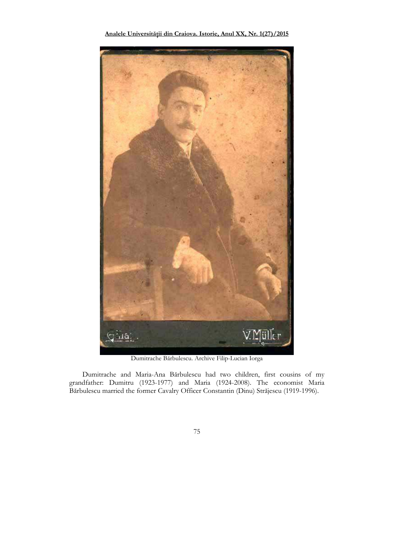

Dumitrache Bărbulescu. Archive Filip-Lucian Iorga

Dumitrache and Maria-Ana Bărbulescu had two children, first cousins of my grandfather: Dumitru (1923-1977) and Maria (1924-2008). The economist Maria Bărbulescu married the former Cavalry Officer Constantin (Dinu) Străjescu (1919-1996).

75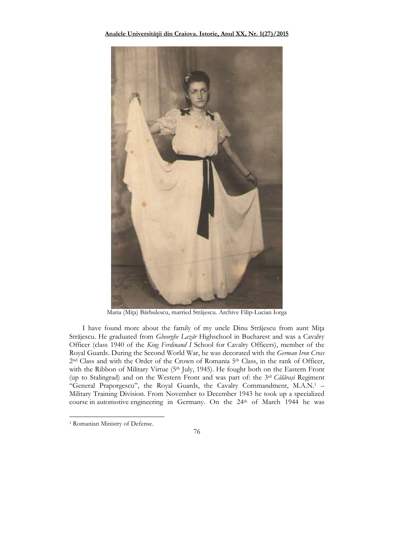

Maria (Mița) Bărbulescu, married Străjescu. Archive Filip-Lucian Iorga

I have found more about the family of my uncle Dinu Străjescu from aunt Mița Străjescu. He graduated from *Gheorghe Lazăr* Highschool in Bucharest and was a Cavalry Officer (class 1940 of the *King Ferdinand I* School for Cavalry Officers), member of the Royal Guards. During the Second World War, he was decorated with the *German Iron Cross* 2<sup>nd</sup> Class and with the Order of the Crown of Romania 5<sup>th</sup> Class, in the rank of Officer, with the Ribbon of Military Virtue (5<sup>th</sup> July, 1945). He fought both on the Eastern Front (up to Stalingrad) and on the Western Front and was part of: the 3rd *Călăraşi* Regiment "General Praporgescu", the Royal Guards, the Cavalry Commandment, M.A.N.<sup>1</sup> -Military Training Division. From November to December 1943 he took up a specialized course in automotive engineering in Germany. On the 24th of March 1944 he was



<sup>1</sup> Romanian Ministry of Defense.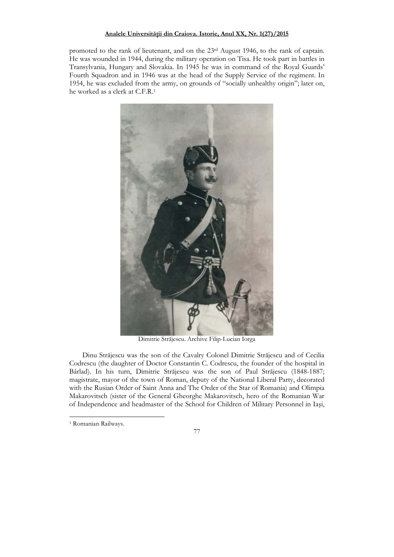promoted to the rank of lieutenant, and on the 23rd August 1946, to the rank of captain. He was wounded in 1944, during the military operation on Tisa. He took part in battles in Transylvania, Hungary and Slovakia. In 1945 he was in command of the Royal Guards' Fourth Squadron and in 1946 was at the head of the Supply Service of the regiment. In 1954, he was excluded from the army, on grounds of "socially unhealthy origin"; later on, he worked as a clerk at C.F.R.<sup>1</sup>



Dimitrie Străjescu. Archive Filip-Lucian Iorga

Dinu Străjescu was the son of the Cavalry Colonel Dimitrie Străjescu and of Cecilia Codrescu (the daughter of Doctor Constantin C. Codrescu, the founder of the hospital in Bârlad). In his turn, Dimitrie Străjescu was the son of Paul Străjescu (1848-1887; magistrate, mayor of the town of Roman, deputy of the National Liberal Party, decorated with the Rusian Order of Saint Anna and The Order of the Star of Romania) and Olimpia Makarovitsch (sister of the General Gheorghe Makarovitsch, hero of the Romanian War of Independence and headmaster of the School for Children of Military Personnel in Iaşi,



<sup>1</sup> Romanian Railways.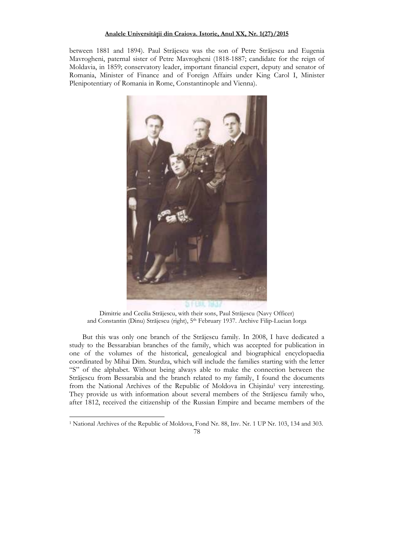between 1881 and 1894). Paul Străjescu was the son of Petre Străjescu and Eugenia Mavrogheni, paternal sister of Petre Mavrogheni (1818-1887; candidate for the reign of Moldavia, in 1859; conservatory leader, important financial expert, deputy and senator of Romania, Minister of Finance and of Foreign Affairs under King Carol I, Minister Plenipotentiary of Romania in Rome, Constantinople and Vienna).



Dimitrie and Cecilia Străjescu, with their sons, Paul Străjescu (Navy Officer) and Constantin (Dinu) Străjescu (right), 5th February 1937. Archive Filip-Lucian Iorga

But this was only one branch of the Străjescu family. In 2008, I have dedicated a study to the Bessarabian branches of the family, which was accepted for publication in one of the volumes of the historical, genealogical and biographical encyclopaedia coordinated by Mihai Dim. Sturdza, which will include the families starting with the letter "S" of the alphabet. Without being always able to make the connection between the Străjescu from Bessarabia and the branch related to my family, I found the documents from the National Archives of the Republic of Moldova in Chișinău<sup>1</sup> very interesting. They provide us with information about several members of the Străjescu family who, after 1812, received the citizenship of the Russian Empire and became members of the

<sup>&</sup>lt;sup>1</sup> National Archives of the Republic of Moldova, Fond Nr. 88, Inv. Nr. 1 UP Nr. 103, 134 and 303.

<sup>78</sup>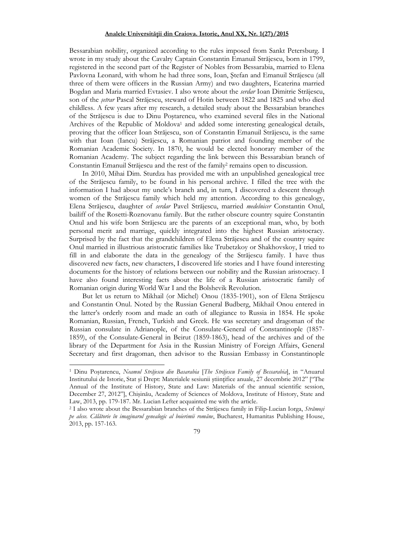Bessarabian nobility, organized according to the rules imposed from Sankt Petersburg. I wrote in my study about the Cavalry Captain Constantin Emanuil Străjescu, born in 1799, registered in the second part of the Register of Nobles from Bessarabia, married to Elena Pavlovna Leonard, with whom he had three sons, Ioan, Ştefan and Emanuil Străjescu (all three of them were officers in the Russian Army) and two daughters, Ecaterina married Bogdan and Maria married Evtasiev. I also wrote about the *serdar* Ioan Dimitrie Străjescu, son of the *şetrar* Pascal Străjescu, steward of Hotin between 1822 and 1825 and who died childless. A few years after my research, a detailed study about the Bessarabian branches of the Străjescu is due to Dinu Poştarencu, who examined several files in the National Archives of the Republic of Moldova<sup>1</sup> and added some interesting genealogical details, proving that the officer Ioan Străjescu, son of Constantin Emanuil Străjescu, is the same with that Ioan (Iancu) Străjescu, a Romanian patriot and founding member of the Romanian Academic Society. In 1870, he would be elected honorary member of the Romanian Academy. The subject regarding the link between this Bessarabian branch of Constantin Emanuil Străjescu and the rest of the family<sup>2</sup> remains open to discussion.

In 2010, Mihai Dim. Sturdza has provided me with an unpublished genealogical tree of the Străjescu family, to be found in his personal archive. I filled the tree with the information I had about my uncle's branch and, in turn, I discovered a descent through women of the Străjescu family which held my attention. According to this genealogy, Elena Străjescu, daughter of *serdar* Pavel Străjescu, married *medelnicer* Constantin Onul, bailiff of the Rosetti-Roznovanu family. But the rather obscure country squire Constantin Onul and his wife born Străjescu are the parents of an exceptional man, who, by both personal merit and marriage, quickly integrated into the highest Russian aristocracy. Surprised by the fact that the grandchildren of Elena Străjescu and of the country squire Onul married in illustrious aristocratic families like Trubetzkoy or Shakhovskoy, I tried to fill in and elaborate the data in the genealogy of the Străjescu family. I have thus discovered new facts, new characters, I discovered life stories and I have found interesting documents for the history of relations between our nobility and the Russian aristocracy. I have also found interesting facts about the life of a Russian aristocratic family of Romanian origin during World War I and the Bolshevik Revolution.

But let us return to Mikhail (or Michel) Onou (1835-1901), son of Elena Străjescu and Constantin Onul. Noted by the Russian General Budberg, Mikhail Onou entered in the latter's orderly room and made an oath of allegiance to Russia in 1854. He spoke Romanian, Russian, French, Turkish and Greek. He was secretary and dragoman of the Russian consulate in Adrianople, of the Consulate-General of Constantinople (1857- 1859), of the Consulate-General in Beirut (1859-1863), head of the archives and of the library of the Department for Asia in the Russian Ministry of Foreign Affairs, General Secretary and first dragoman, then advisor to the Russian Embassy in Constantinople

<sup>1</sup> Dinu Poştarencu, *Neamul Străjescu din Basarabia* [*The Străjescu Family of Bessarabia*], in "Anuarul Institutului de Istorie, Stat și Drept: Materialele sesiunii științifice anuale, 27 decembrie 2012" ["The Annual of the Institute of History, State and Law: Materials of the annual scientific session, December 27, 2012"], Chişinău, Academy of Sciences of Moldova, Institute of History, State and Law, 2013, pp. 179-187. Mr. Lucian Lefter acquainted me with the article.

<sup>2</sup> I also wrote about the Bessarabian branches of the Străjescu family in Filip-Lucian Iorga, *Strămoşi pe alese. Călătorie în imaginarul genealogic al boierimii române*, Bucharest, Humanitas Publishing House, 2013, pp. 157-163.

<sup>79</sup>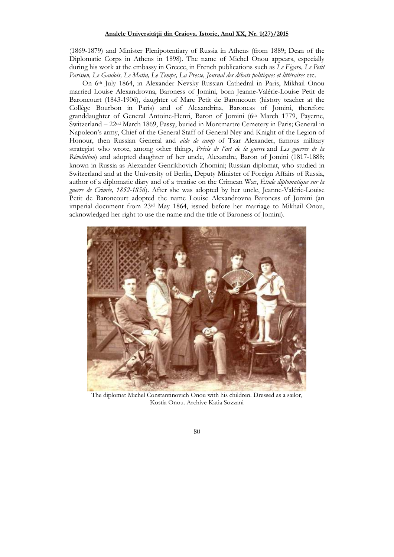(1869-1879) and Minister Plenipotentiary of Russia in Athens (from 1889; Dean of the Diplomatic Corps in Athens in 1898). The name of Michel Onou appears, especially during his work at the embassy in Greece, in French publications such as *Le Figaro, Le Petit*  Parisien, Le Gaulois, Le Matin, Le Temps, La Presse, Journal des débats politiques et littéraires etc.

On 6th July 1864, in Alexander Nevsky Russian Cathedral in Paris, Mikhail Onou married Louise Alexandrovna, Baroness of Jomini, born Jeanne-Valérie-Louise Petit de Baroncourt (1843-1906), daughter of Marc Petit de Baroncourt (history teacher at the Collège Bourbon in Paris) and of Alexandrina, Baroness of Jomini, therefore granddaughter of General Antoine-Henri, Baron of Jomini (6th March 1779, Payerne, Switzerland – 22nd March 1869, Passy, buried in Montmartre Cemetery in Paris; General in Napoleon's army, Chief of the General Staff of General Ney and Knight of the Legion of Honour, then Russian General and *aide de camp* of Tsar Alexander, famous military strategist who wrote, among other things, *Précis de l'art de la guerre* and *Les guerres de la Révolution*) and adopted daughter of her uncle, Alexandre, Baron of Jomini (1817-1888; known in Russia as Alexander Genrikhovich Zhomini; Russian diplomat, who studied in Switzerland and at the University of Berlin, Deputy Minister of Foreign Affairs of Russia, author of a diplomatic diary and of a treatise on the Crimean War, *Étude diplomatique sur la guerre de Crimée, 1852-1856*). After she was adopted by her uncle, Jeanne-Valérie-Louise Petit de Baroncourt adopted the name Louise Alexandrovna Baroness of Jomini (an imperial document from 23rd May 1864, issued before her marriage to Mikhail Onou, acknowledged her right to use the name and the title of Baroness of Jomini).



The diplomat Michel Constantinovich Onou with his children. Dressed as a sailor, Kostia Onou. Archive Katia Sozzani

# 80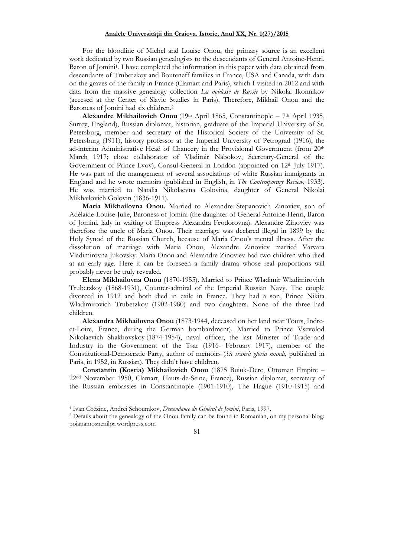For the bloodline of Michel and Louise Onou, the primary source is an excellent work dedicated by two Russian genealogists to the descendants of General Antoine-Henri, Baron of Jomini<sup>1</sup>. I have completed the information in this paper with data obtained from descendants of Trubetzkoy and Bouteneff families in France, USA and Canada, with data on the graves of the family in France (Clamart and Paris), which I visited in 2012 and with data from the massive genealogy collection *La noblesse de Russie* by Nikolai Ikonnikov (accesed at the Center of Slavic Studies in Paris). Therefore, Mikhail Onou and the Baroness of Jomini had six children.<sup>2</sup>

**Alexandre Mikhailovich Onou** (19th April 1865, Constantinople – 7th April 1935, Surrey, England), Russian diplomat, historian, graduate of the Imperial University of St. Petersburg, member and secretary of the Historical Society of the University of St. Petersburg (1911), history professor at the Imperial University of Petrograd (1916), the ad-interim Administrative Head of Chancery in the Provisional Government (from 20th March 1917; close collaborator of Vladimir Nabokov, Secretary-General of the Government of Prince Lvov), Consul-General in London (appointed on 12th July 1917). He was part of the management of several associations of white Russian immigrants in England and he wrote memoirs (published in English, in *The Contemporary Review*, 1933). He was married to Natalia Nikolaevna Golovina, daughter of General Nikolai Mikhailovich Golovin (1836-1911).

**Maria Mikhailovna Onou.** Married to Alexandre Stepanovich Zinoviev, son of Adélaide-Louise-Julie, Baroness of Jomini (the daughter of General Antoine-Henri, Baron of Jomini, lady in waiting of Empress Alexandra Feodorovna). Alexandre Zinoviev was therefore the uncle of Maria Onou. Their marriage was declared illegal in 1899 by the Holy Synod of the Russian Church, because of Maria Onou's mental illness. After the dissolution of marriage with Maria Onou, Alexandre Zinoviev married Varvara Vladimirovna Jukovsky. Maria Onou and Alexandre Zinoviev had two children who died at an early age. Here it can be foreseen a family drama whose real proportions will probably never be truly revealed.

**Elena Mikhailovna Onou** (1870-1955). Married to Prince Wladimir Wladimirovich Trubetzkoy (1868-1931), Counter-admiral of the Imperial Russian Navy. The couple divorced in 1912 and both died in exile in France. They had a son, Prince Nikita Wladimirovich Trubetzkoy (1902-1980) and two daughters. None of the three had children.

**Alexandra Mikhailovna Onou** (1873-1944, deceased on her land near Tours, Indreet-Loire, France, during the German bombardment). Married to Prince Vsevolod Nikolaevich Shakhovskoy (1874-1954), naval officer, the last Minister of Trade and Industry in the Government of the Tsar (1916- February 1917), member of the Constitutional-Democratic Party, author of memoirs (*Sic transit gloria mundi*, published in Paris, in 1952, in Russian). They didn't have children.

**Constantin (Kostia) Mikhailovich Onou** (1875 Buiuk-Dere, Ottoman Empire – 22nd November 1950, Clamart, Hauts-de-Seine, France), Russian diplomat, secretary of the Russian embassies in Constantinople (1901-1910), The Hague (1910-1915) and

<sup>2</sup> Details about the genealogy of the Onou family can be found in Romanian, on my personal blog: poianamosnenilor.wordpress.com



<sup>1</sup> Ivan Grézine, Andrei Schoumkov, *Descendance du Général de Jomini*, Paris, 1997.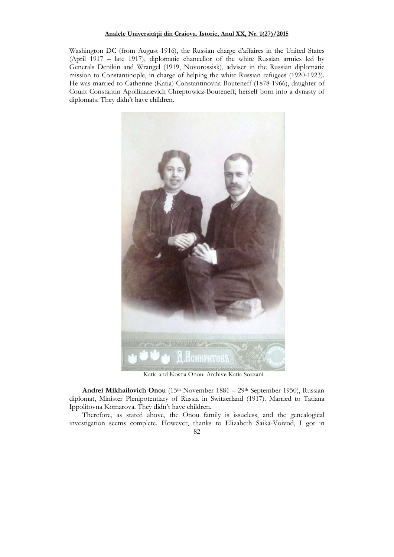Washington DC (from August 1916), the Russian charge d'affaires in the United States (April 1917 – late 1917), diplomatic chancellor of the white Russian armies led by Generals Denikin and Wrangel (1919, Novorossisk), adviser in the Russian diplomatic mission to Constantinople, in charge of helping the white Russian refugees (1920-1923). He was married to Catherine (Katia) Constantinovna Bouteneff (1878-1966), daughter of Count Constantin Apollinarievich Chreptowicz-Bouteneff, herself born into a dynasty of diplomats. They didn't have children.



Katia and Kostia Onou. Archive Katia Sozzani

**Andrei Mikhailovich Onou** (15th November 1881 – 29th September 1950), Russian diplomat, Minister Plenipotentiary of Russia in Switzerland (1917). Married to Tatiana Ippolitovna Komarova. They didn't have children.

Therefore, as stated above, the Onou family is issueless, and the genealogical investigation seems complete. However, thanks to Elizabeth Saika-Voivod, I got in

82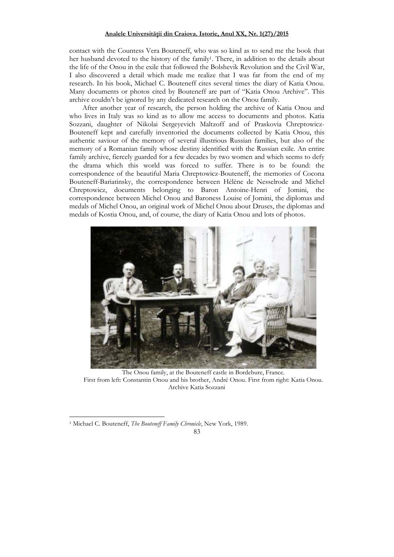contact with the Countess Vera Bouteneff, who was so kind as to send me the book that her husband devoted to the history of the family<sup>1</sup> . There, in addition to the details about the life of the Onou in the exile that followed the Bolshevik Revolution and the Civil War, I also discovered a detail which made me realize that I was far from the end of my research. In his book, Michael C. Bouteneff cites several times the diary of Katia Onou. Many documents or photos cited by Bouteneff are part of "Katia Onou Archive". This archive couldn't be ignored by any dedicated research on the Onou family.

After another year of research, the person holding the archive of Katia Onou and who lives in Italy was so kind as to allow me access to documents and photos. Katia Sozzani, daughter of Nikolai Sergeyevich Maltzoff and of Praskovia Chreptowicz-Bouteneff kept and carefully inventoried the documents collected by Katia Onou, this authentic saviour of the memory of several illustrious Russian families, but also of the memory of a Romanian family whose destiny identified with the Russian exile. An entire family archive, fiercely guarded for a few decades by two women and which seems to defy the drama which this world was forced to suffer. There is to be found: the correspondence of the beautiful Maria Chreptowicz-Bouteneff, the memories of Cocona Bouteneff-Bariatinsky, the correspondence between Hélène de Nesselrode and Michel Chreptowicz, documents belonging to Baron Antoine-Henri of Jomini, the correspondence between Michel Onou and Baroness Louise of Jomini, the diplomas and medals of Michel Onou, an original work of Michel Onou about Druses, the diplomas and medals of Kostia Onou, and, of course, the diary of Katia Onou and lots of photos.



The Onou family, at the Bouteneff castle in Bordebure, France. First from left: Constantin Onou and his brother, André Onou. First from right: Katia Onou. Archive Katia Sozzani

<sup>&</sup>lt;sup>1</sup> Michael C. Bouteneff, *The Bouteneff Family Chronicle*, New York, 1989.

<sup>83</sup>